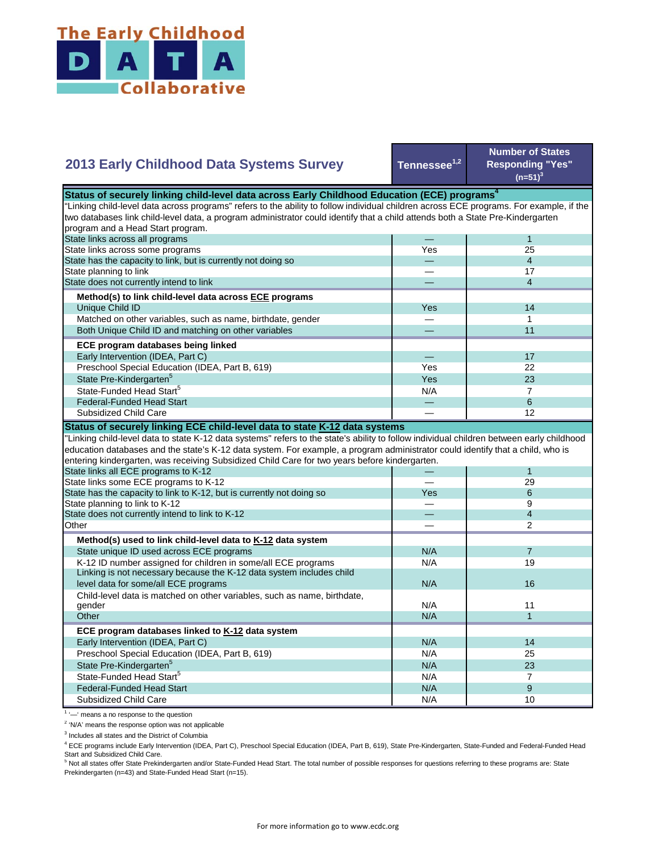

## **2013 Early Childhood Data Systems Survey**

**Tennessee1,2**

**Number of States Responding "Yes"**   $(n=51)^3$ 

| Status of securely linking child-level data across Early Childhood Education (ECE) programs <sup>4</sup>                                  |     |                |  |
|-------------------------------------------------------------------------------------------------------------------------------------------|-----|----------------|--|
| "Linking child-level data across programs" refers to the ability to follow individual children across ECE programs. For example, if the   |     |                |  |
| two databases link child-level data, a program administrator could identify that a child attends both a State Pre-Kindergarten            |     |                |  |
| program and a Head Start program.                                                                                                         |     |                |  |
| State links across all programs                                                                                                           |     | $\mathbf{1}$   |  |
| State links across some programs                                                                                                          | Yes | 25             |  |
| State has the capacity to link, but is currently not doing so                                                                             |     | $\overline{4}$ |  |
| State planning to link                                                                                                                    |     | 17             |  |
| State does not currently intend to link                                                                                                   |     | $\overline{4}$ |  |
| Method(s) to link child-level data across ECE programs                                                                                    |     |                |  |
| Unique Child ID                                                                                                                           | Yes | 14             |  |
| Matched on other variables, such as name, birthdate, gender                                                                               |     | $\mathbf{1}$   |  |
| Both Unique Child ID and matching on other variables                                                                                      |     | 11             |  |
| ECE program databases being linked                                                                                                        |     |                |  |
| Early Intervention (IDEA, Part C)                                                                                                         |     | 17             |  |
| Preschool Special Education (IDEA, Part B, 619)                                                                                           | Yes | 22             |  |
| State Pre-Kindergarten <sup>5</sup>                                                                                                       | Yes | 23             |  |
| State-Funded Head Start <sup>5</sup>                                                                                                      | N/A | $\overline{7}$ |  |
| <b>Federal-Funded Head Start</b>                                                                                                          |     | 6              |  |
| Subsidized Child Care                                                                                                                     |     | 12             |  |
| Status of securely linking ECE child-level data to state K-12 data systems                                                                |     |                |  |
| 'Linking child-level data to state K-12 data systems" refers to the state's ability to follow individual children between early childhood |     |                |  |
| education databases and the state's K-12 data system. For example, a program administrator could identify that a child, who is            |     |                |  |
| entering kindergarten, was receiving Subsidized Child Care for two years before kindergarten.                                             |     |                |  |
| State links all ECE programs to K-12                                                                                                      |     | $\mathbf{1}$   |  |
| State links some ECE programs to K-12                                                                                                     |     | 29             |  |
| State has the capacity to link to K-12, but is currently not doing so                                                                     | Yes | 6              |  |
| State planning to link to K-12                                                                                                            |     | 9              |  |
| State does not currently intend to link to K-12                                                                                           |     | $\overline{4}$ |  |
| Other                                                                                                                                     |     | 2              |  |
| Method(s) used to link child-level data to K-12 data system                                                                               |     |                |  |
| State unique ID used across ECE programs                                                                                                  | N/A | $\overline{7}$ |  |
| K-12 ID number assigned for children in some/all ECE programs                                                                             | N/A | 19             |  |
| Linking is not necessary because the K-12 data system includes child                                                                      |     |                |  |
| level data for some/all ECE programs                                                                                                      | N/A | 16             |  |
| Child-level data is matched on other variables, such as name, birthdate,                                                                  |     |                |  |
| gender                                                                                                                                    | N/A | 11             |  |
| Other                                                                                                                                     | N/A | $\mathbf{1}$   |  |
| ECE program databases linked to K-12 data system                                                                                          |     |                |  |
| Early Intervention (IDEA, Part C)                                                                                                         | N/A | 14             |  |
| Preschool Special Education (IDEA, Part B, 619)                                                                                           | N/A | 25             |  |
| State Pre-Kindergarten <sup>5</sup>                                                                                                       | N/A | 23             |  |
| State-Funded Head Start <sup>5</sup>                                                                                                      | N/A | $\overline{7}$ |  |
| <b>Federal-Funded Head Start</b>                                                                                                          | N/A | 9              |  |
| <b>Subsidized Child Care</b>                                                                                                              | N/A | 10             |  |

<sup>1</sup> '-' means a no response to the question

<sup>2</sup> 'N/A' means the response option was not applicable

<sup>3</sup> Includes all states and the District of Columbia

<sup>4</sup> ECE programs include Early Intervention (IDEA, Part C), Preschool Special Education (IDEA, Part B, 619), State Pre-Kindergarten, State-Funded and Federal-Funded Head Start and Subsidized Child Care.<br><sup>5</sup> Not all states offer State Prekindergarten and/or State-Funded Head Start. The total number of possible responses for questions referring to these programs are: State

Prekindergarten (n=43) and State-Funded Head Start (n=15).